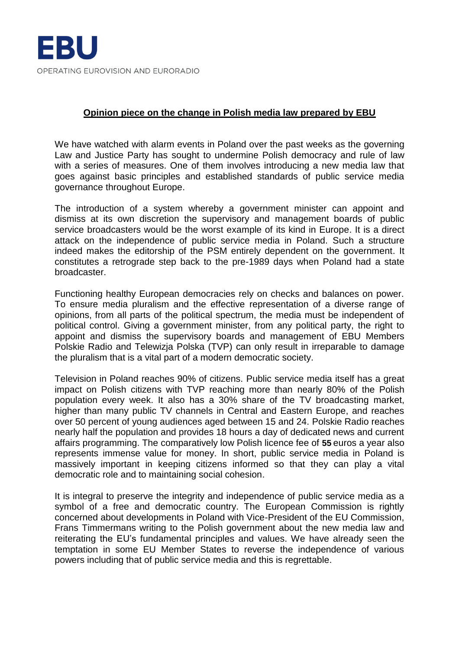

## **Opinion piece on the change in Polish media law prepared by EBU**

We have watched with alarm events in Poland over the past weeks as the governing Law and Justice Party has sought to undermine Polish democracy and rule of law with a series of measures. One of them involves introducing a new media law that goes against basic principles and established standards of public service media governance throughout Europe.

The introduction of a system whereby a government minister can appoint and dismiss at its own discretion the supervisory and management boards of public service broadcasters would be the worst example of its kind in Europe. It is a direct attack on the independence of public service media in Poland. Such a structure indeed makes the editorship of the PSM entirely dependent on the government. It constitutes a retrograde step back to the pre-1989 days when Poland had a state broadcaster.

Functioning healthy European democracies rely on checks and balances on power. To ensure media pluralism and the effective representation of a diverse range of opinions, from all parts of the political spectrum, the media must be independent of political control. Giving a government minister, from any political party, the right to appoint and dismiss the supervisory boards and management of EBU Members Polskie Radio and Telewizja Polska (TVP) can only result in irreparable to damage the pluralism that is a vital part of a modern democratic society.

Television in Poland reaches 90% of citizens. Public service media itself has a great impact on Polish citizens with TVP reaching more than nearly 80% of the Polish population every week. It also has a 30% share of the TV broadcasting market, higher than many public TV channels in Central and Eastern Europe, and reaches over 50 percent of young audiences aged between 15 and 24. Polskie Radio reaches nearly half the population and provides 18 hours a day of dedicated news and current affairs programming. The comparatively low Polish licence fee of **55** euros a year also represents immense value for money. In short, public service media in Poland is massively important in keeping citizens informed so that they can play a vital democratic role and to maintaining social cohesion.

It is integral to preserve the integrity and independence of public service media as a symbol of a free and democratic country. The European Commission is rightly concerned about developments in Poland with Vice-President of the EU Commission, Frans Timmermans writing to the Polish government about the new media law and reiterating the EU's fundamental principles and values. We have already seen the temptation in some EU Member States to reverse the independence of various powers including that of public service media and this is regrettable.